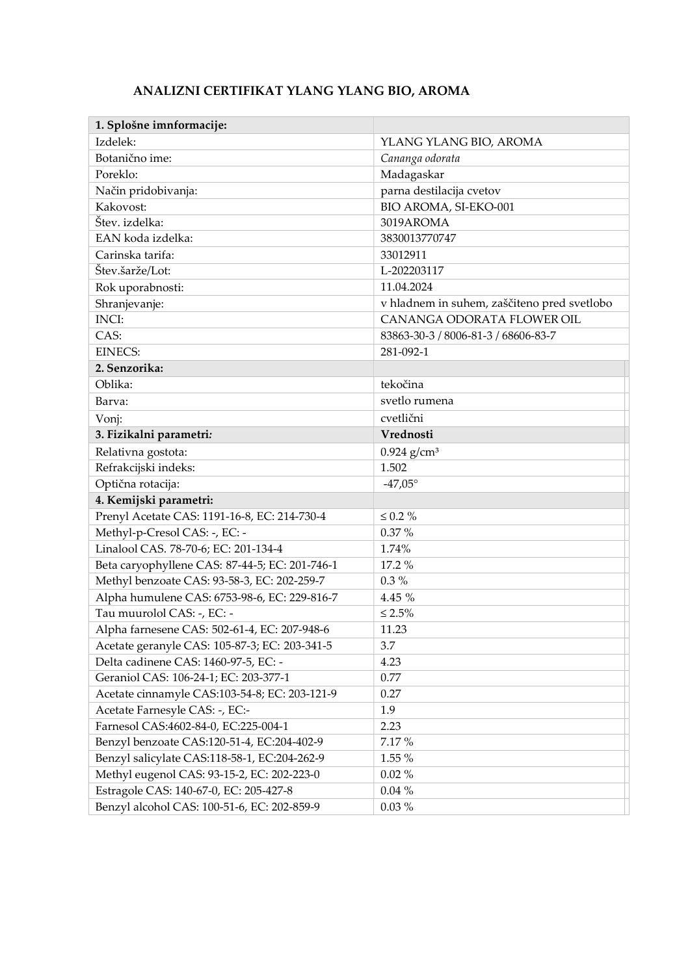## ANALIZNI CERTIFIKAT YLANG YLANG BIO, AROMA

| 1. Splošne imnformacije:                       |                                             |  |
|------------------------------------------------|---------------------------------------------|--|
| Izdelek:                                       | YLANG YLANG BIO, AROMA                      |  |
| Botanično ime:                                 | Cananga odorata                             |  |
| Poreklo:                                       | Madagaskar                                  |  |
| Način pridobivanja:                            | parna destilacija cvetov                    |  |
| Kakovost:                                      | BIO AROMA, SI-EKO-001                       |  |
| Štev. izdelka:                                 | 3019AROMA                                   |  |
| EAN koda izdelka:                              | 3830013770747                               |  |
| Carinska tarifa:                               | 33012911                                    |  |
| Štev.šarže/Lot:                                | L-202203117                                 |  |
| Rok uporabnosti:                               | 11.04.2024                                  |  |
| Shranjevanje:                                  | v hladnem in suhem, zaščiteno pred svetlobo |  |
| <b>INCI:</b>                                   | CANANGA ODORATA FLOWER OIL                  |  |
| CAS:                                           | 83863-30-3 / 8006-81-3 / 68606-83-7         |  |
| <b>EINECS:</b>                                 | 281-092-1                                   |  |
| 2. Senzorika:                                  |                                             |  |
| Oblika:                                        | tekočina                                    |  |
| Barva:                                         | svetlo rumena                               |  |
| Vonj:                                          | cvetlični                                   |  |
| 3. Fizikalni parametri:                        | Vrednosti                                   |  |
| Relativna gostota:                             | $0.924$ g/cm <sup>3</sup>                   |  |
| Refrakcijski indeks:                           | 1.502                                       |  |
| Optična rotacija:                              | $-47,05^{\circ}$                            |  |
| 4. Kemijski parametri:                         |                                             |  |
| Prenyl Acetate CAS: 1191-16-8, EC: 214-730-4   | $\leq 0.2 \%$                               |  |
| Methyl-p-Cresol CAS: -, EC: -                  | 0.37%                                       |  |
| Linalool CAS. 78-70-6; EC: 201-134-4           | 1.74%                                       |  |
| Beta caryophyllene CAS: 87-44-5; EC: 201-746-1 | 17.2 %                                      |  |
| Methyl benzoate CAS: 93-58-3, EC: 202-259-7    | $0.3\%$                                     |  |
| Alpha humulene CAS: 6753-98-6, EC: 229-816-7   | 4.45 %                                      |  |
| Tau muurolol CAS: -, EC: -                     | $\leq 2.5\%$                                |  |
| Alpha farnesene CAS: 502-61-4, EC: 207-948-6   | 11.23                                       |  |
| Acetate geranyle CAS: 105-87-3; EC: 203-341-5  | 3.7                                         |  |
| Delta cadinene CAS: 1460-97-5, EC: -           | 4.23                                        |  |
| Geraniol CAS: 106-24-1; EC: 203-377-1          | 0.77                                        |  |
| Acetate cinnamyle CAS:103-54-8; EC: 203-121-9  | 0.27                                        |  |
| Acetate Farnesyle CAS: -, EC:-                 | 1.9                                         |  |
| Farnesol CAS:4602-84-0, EC:225-004-1           | 2.23                                        |  |
| Benzyl benzoate CAS:120-51-4, EC:204-402-9     | 7.17 %                                      |  |
| Benzyl salicylate CAS:118-58-1, EC:204-262-9   | 1.55 %                                      |  |
| Methyl eugenol CAS: 93-15-2, EC: 202-223-0     | $0.02~\%$                                   |  |
| Estragole CAS: 140-67-0, EC: 205-427-8         | $0.04~\%$                                   |  |
| Benzyl alcohol CAS: 100-51-6, EC: 202-859-9    | $0.03 \%$                                   |  |